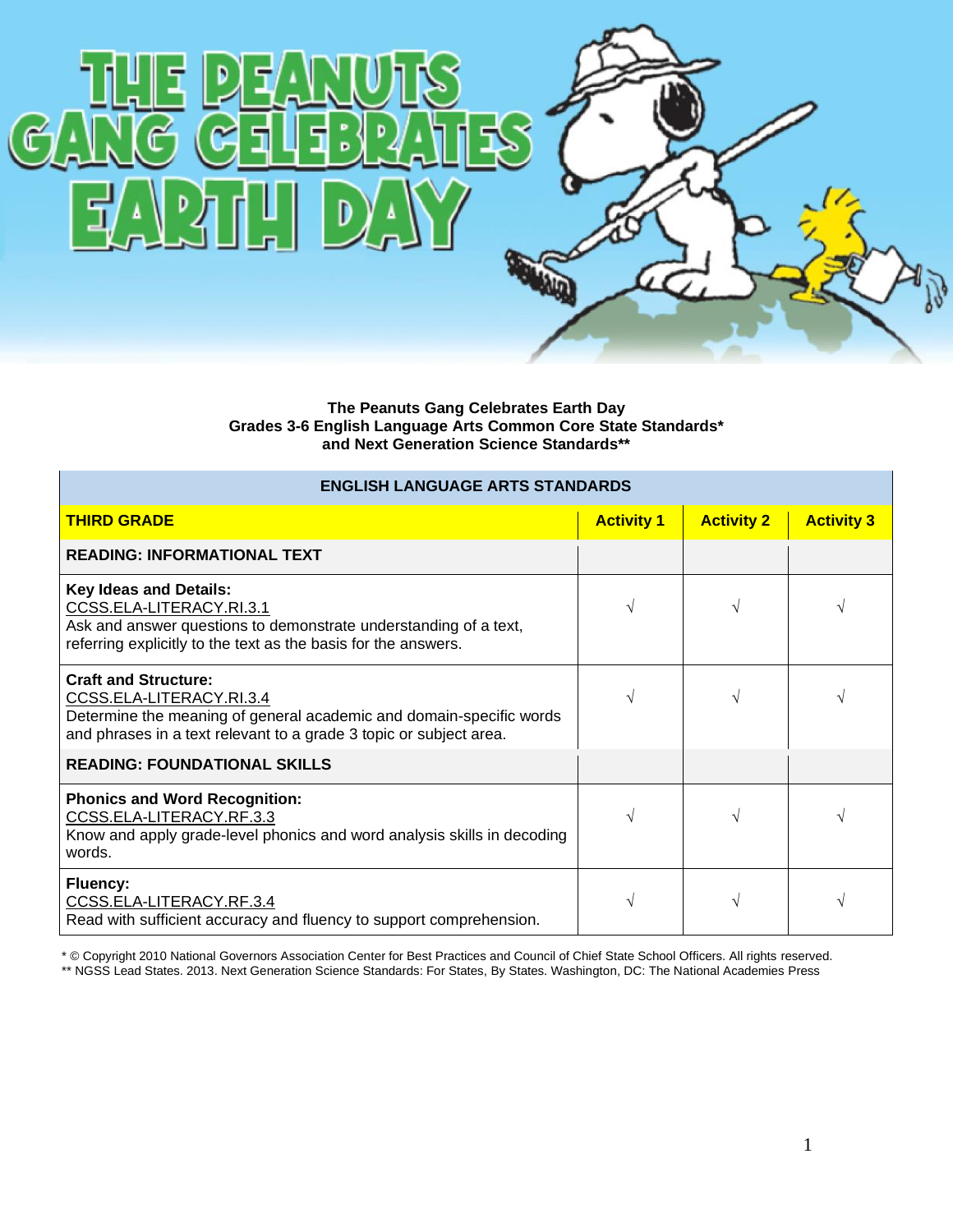

**The Peanuts Gang Celebrates Earth Day Grades 3-6 English Language Arts Common Core State Standards\* and Next Generation Science Standards\*\***

| <b>ENGLISH LANGUAGE ARTS STANDARDS</b>                                                                                                                                                               |                   |                   |                   |  |
|------------------------------------------------------------------------------------------------------------------------------------------------------------------------------------------------------|-------------------|-------------------|-------------------|--|
| <b>THIRD GRADE</b>                                                                                                                                                                                   | <b>Activity 1</b> | <b>Activity 2</b> | <b>Activity 3</b> |  |
| <b>READING: INFORMATIONAL TEXT</b>                                                                                                                                                                   |                   |                   |                   |  |
| <b>Key Ideas and Details:</b><br>CCSS.ELA-LITERACY.RI.3.1<br>Ask and answer questions to demonstrate understanding of a text,<br>referring explicitly to the text as the basis for the answers.      | V                 | $\sqrt{ }$        | V                 |  |
| <b>Craft and Structure:</b><br>CCSS.ELA-LITERACY.RI.3.4<br>Determine the meaning of general academic and domain-specific words<br>and phrases in a text relevant to a grade 3 topic or subject area. |                   | $\mathcal{N}$     | V                 |  |
| <b>READING: FOUNDATIONAL SKILLS</b>                                                                                                                                                                  |                   |                   |                   |  |
| <b>Phonics and Word Recognition:</b><br>CCSS.ELA-LITERACY.RF.3.3<br>Know and apply grade-level phonics and word analysis skills in decoding<br>words.                                                | V                 | N                 | V                 |  |
| <b>Fluency:</b><br>CCSS.ELA-LITERACY.RF.3.4<br>Read with sufficient accuracy and fluency to support comprehension.                                                                                   | V                 |                   | V                 |  |

\* © Copyright 2010 National Governors Association Center for Best Practices and Council of Chief State School Officers. All rights reserved. \*\* NGSS Lead States. 2013. Next Generation Science Standards: For States, By States. Washington, DC: The National Academies Press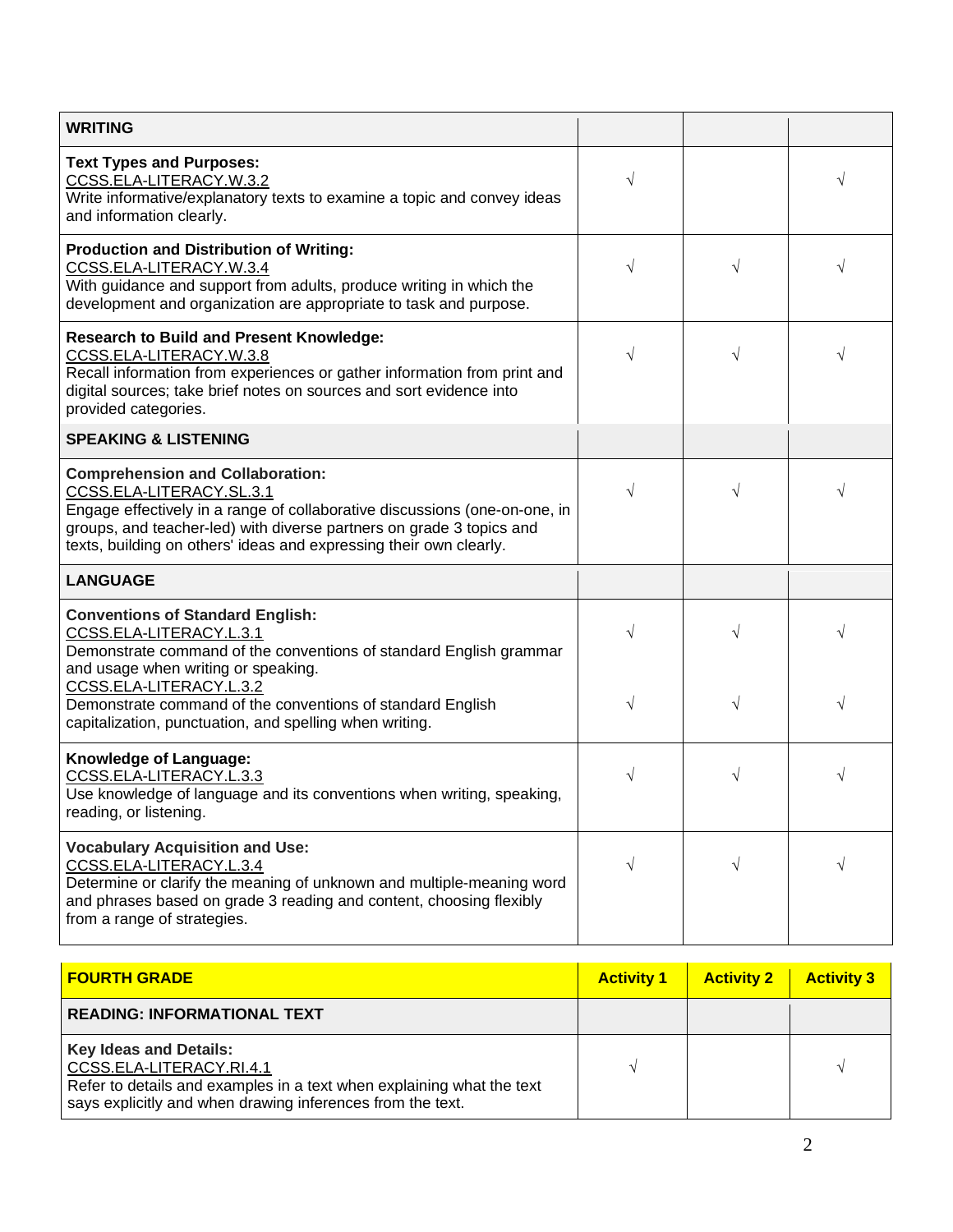| $\sqrt{}$ |            | V         |
|-----------|------------|-----------|
| $\sqrt{}$ | $\sqrt{ }$ |           |
| $\sqrt{}$ | $\sqrt{}$  |           |
|           |            |           |
| $\sqrt{}$ | $\sqrt{ }$ | V         |
|           |            |           |
| $\sqrt{}$ | $\sqrt{}$  | V         |
| V         | $\sqrt{}$  | $\sqrt{}$ |
| $\sqrt{}$ | $\sqrt{}$  | V         |
| $\sqrt{}$ | $\sqrt{}$  | V         |
|           |            |           |

| <b>FOURTH GRADE</b>                                                                                                                                                                              | <b>Activity 1</b> | <b>Activity 2</b> | <b>Activity 3</b> |
|--------------------------------------------------------------------------------------------------------------------------------------------------------------------------------------------------|-------------------|-------------------|-------------------|
| <b>READING: INFORMATIONAL TEXT</b>                                                                                                                                                               |                   |                   |                   |
| <b>Key Ideas and Details:</b><br>CCSS.ELA-LITERACY.RI.4.1<br>Refer to details and examples in a text when explaining what the text<br>says explicitly and when drawing inferences from the text. |                   |                   |                   |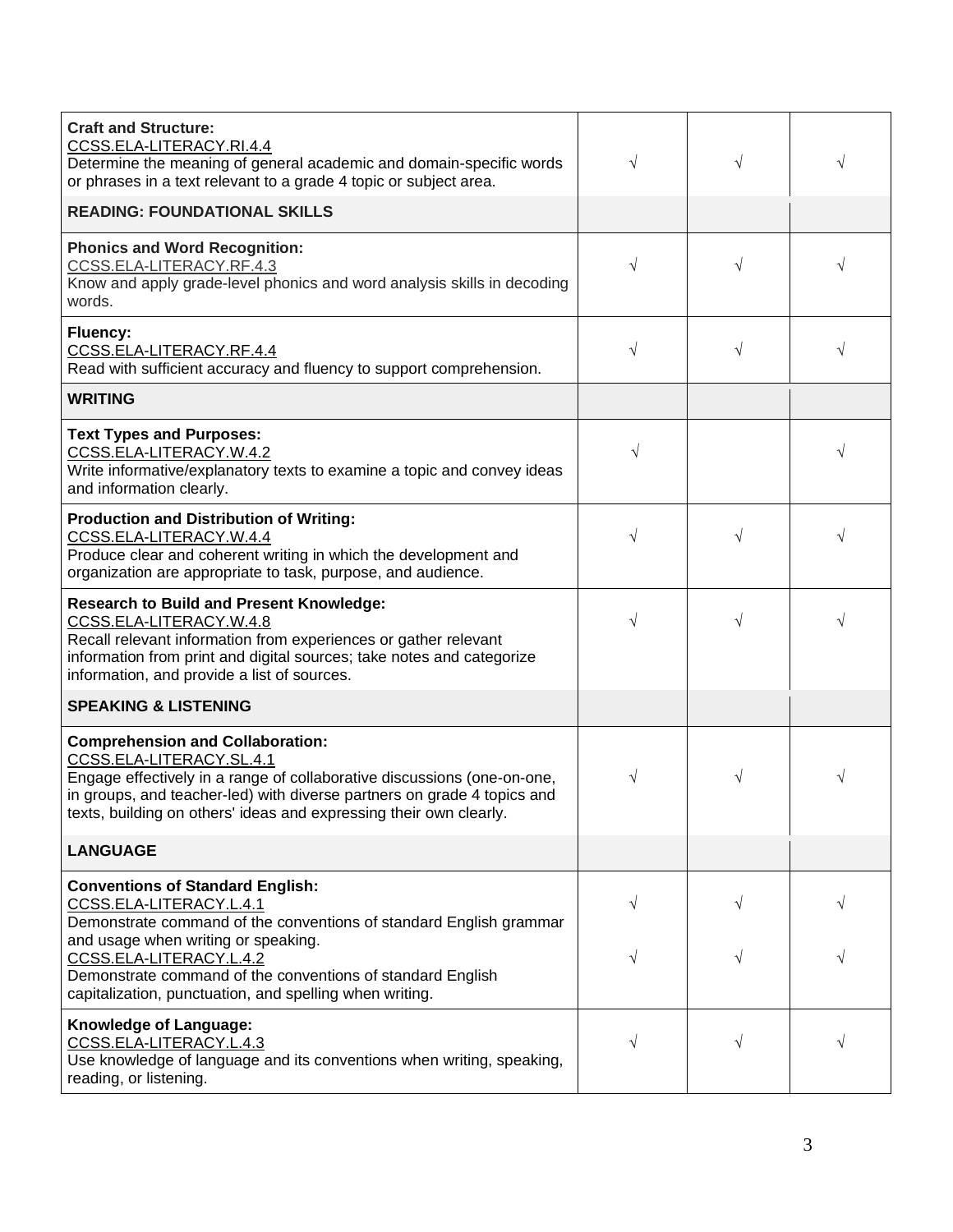| <b>Craft and Structure:</b><br>CCSS.ELA-LITERACY.RI.4.4<br>Determine the meaning of general academic and domain-specific words<br>or phrases in a text relevant to a grade 4 topic or subject area.                                                                                             | $\sqrt{}$ | V         | V |
|-------------------------------------------------------------------------------------------------------------------------------------------------------------------------------------------------------------------------------------------------------------------------------------------------|-----------|-----------|---|
| <b>READING: FOUNDATIONAL SKILLS</b>                                                                                                                                                                                                                                                             |           |           |   |
| <b>Phonics and Word Recognition:</b><br>CCSS.ELA-LITERACY.RF.4.3<br>Know and apply grade-level phonics and word analysis skills in decoding<br>words.                                                                                                                                           | $\sqrt{}$ | V         | V |
| Fluency:<br>CCSS.ELA-LITERACY.RF.4.4<br>Read with sufficient accuracy and fluency to support comprehension.                                                                                                                                                                                     | $\sqrt{}$ | $\sqrt{}$ | V |
| <b>WRITING</b>                                                                                                                                                                                                                                                                                  |           |           |   |
| <b>Text Types and Purposes:</b><br>CCSS.ELA-LITERACY.W.4.2<br>Write informative/explanatory texts to examine a topic and convey ideas<br>and information clearly.                                                                                                                               | $\sqrt{}$ |           | V |
| <b>Production and Distribution of Writing:</b><br>CCSS.ELA-LITERACY.W.4.4<br>Produce clear and coherent writing in which the development and<br>organization are appropriate to task, purpose, and audience.                                                                                    | $\sqrt{}$ | V         | V |
| <b>Research to Build and Present Knowledge:</b><br>CCSS.ELA-LITERACY.W.4.8<br>Recall relevant information from experiences or gather relevant<br>information from print and digital sources; take notes and categorize<br>information, and provide a list of sources.                           | $\sqrt{}$ | $\sqrt{}$ | V |
| <b>SPEAKING &amp; LISTENING</b>                                                                                                                                                                                                                                                                 |           |           |   |
| <b>Comprehension and Collaboration:</b><br>CCSS.ELA-LITERACY.SL.4.1<br>Engage effectively in a range of collaborative discussions (one-on-one,<br>in groups, and teacher-led) with diverse partners on grade 4 topics and<br>texts, building on others' ideas and expressing their own clearly. | $\sqrt{}$ | V         | V |
| <b>LANGUAGE</b>                                                                                                                                                                                                                                                                                 |           |           |   |
| <b>Conventions of Standard English:</b><br>CCSS.ELA-LITERACY.L.4.1<br>Demonstrate command of the conventions of standard English grammar                                                                                                                                                        | $\sqrt{}$ | V         | V |
| and usage when writing or speaking.<br>CCSS.ELA-LITERACY.L.4.2<br>Demonstrate command of the conventions of standard English<br>capitalization, punctuation, and spelling when writing.                                                                                                         | V         | V         | V |
| Knowledge of Language:<br>CCSS.ELA-LITERACY.L.4.3<br>Use knowledge of language and its conventions when writing, speaking,<br>reading, or listening.                                                                                                                                            | $\sqrt{}$ | $\sqrt{}$ | V |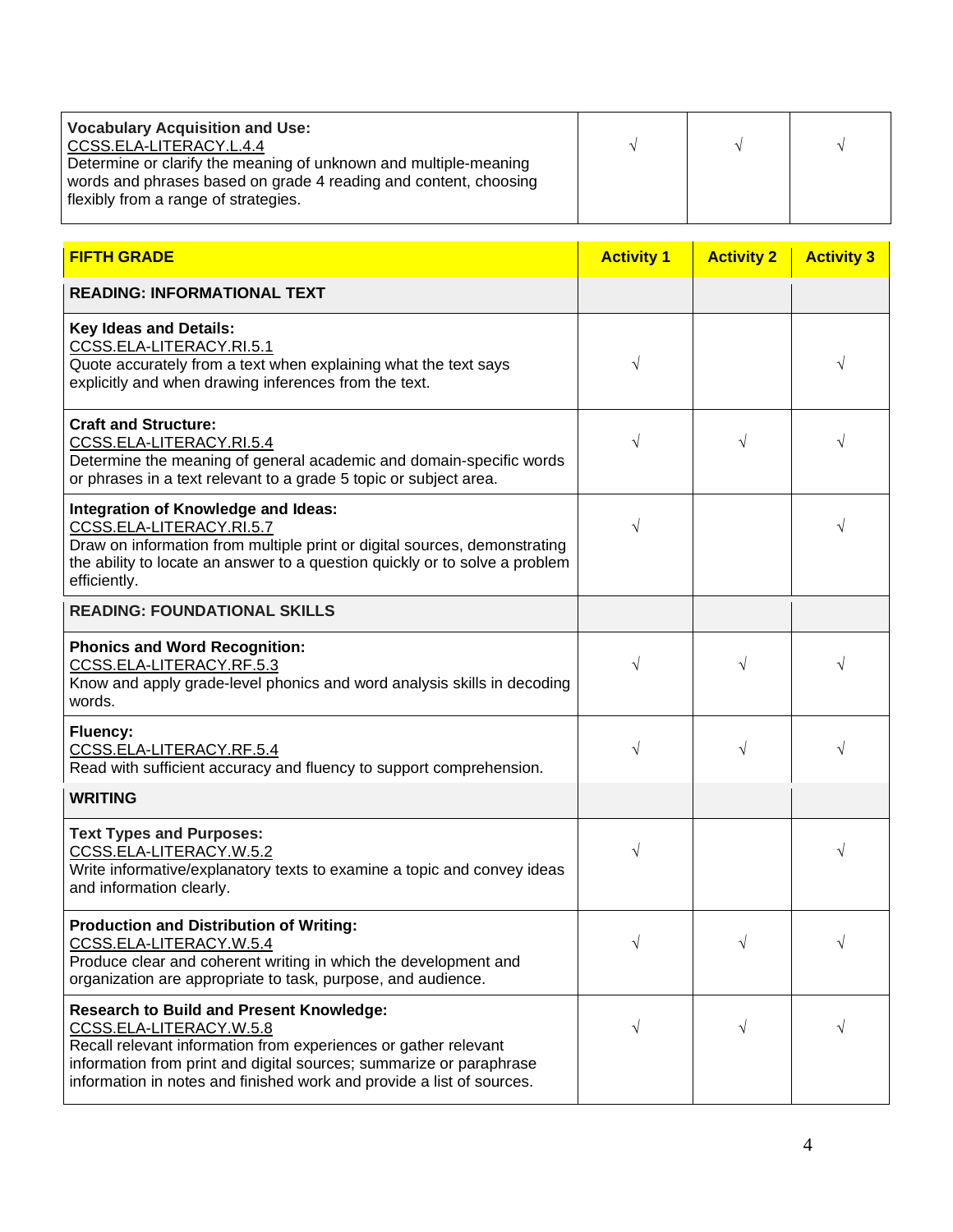| <b>Vocabulary Acquisition and Use:</b><br>CCSS.ELA-LITERACY.L.4.4<br>Determine or clarify the meaning of unknown and multiple-meaning<br>words and phrases based on grade 4 reading and content, choosing<br>flexibly from a range of strategies. |                   |                   |                   |
|---------------------------------------------------------------------------------------------------------------------------------------------------------------------------------------------------------------------------------------------------|-------------------|-------------------|-------------------|
| <b>FIFTH GRADE</b>                                                                                                                                                                                                                                | <b>Activity 1</b> | <b>Activity 2</b> | <b>Activity 3</b> |
| <b>READING: INFORMATIONAL TEXT</b>                                                                                                                                                                                                                |                   |                   |                   |
| <b>Key Ideas and Details:</b><br>CCSS.ELA-LITERACY.RI.5.1<br>Quote accurately from a text when explaining what the text says<br>explicitly and when drawing inferences from the text.                                                             |                   |                   |                   |
| <b>Craft and Structure:</b><br>CCSS.ELA-LITERACY.RI.5.4<br>Determine the meaning of general academic and domain-specific words<br>or phrases in a text relevant to a grade 5 topic or subject area.                                               |                   |                   |                   |
| Integration of Knowledge and Ideas:<br>CCSS.ELA-LITERACY.RI.5.7                                                                                                                                                                                   |                   |                   |                   |

| or phrases in a text relevant to a grade 5 topic or subject area.                                                                                                                                                                                                                             |            |           |           |
|-----------------------------------------------------------------------------------------------------------------------------------------------------------------------------------------------------------------------------------------------------------------------------------------------|------------|-----------|-----------|
| Integration of Knowledge and Ideas:<br>CCSS.ELA-LITERACY.RI.5.7<br>Draw on information from multiple print or digital sources, demonstrating<br>the ability to locate an answer to a question quickly or to solve a problem<br>efficiently.                                                   | $\sqrt{}$  |           |           |
| <b>READING: FOUNDATIONAL SKILLS</b>                                                                                                                                                                                                                                                           |            |           |           |
| <b>Phonics and Word Recognition:</b><br>CCSS.ELA-LITERACY.RF.5.3<br>Know and apply grade-level phonics and word analysis skills in decoding<br>words.                                                                                                                                         | $\sqrt{ }$ | V         |           |
| <b>Fluency:</b><br>CCSS.ELA-LITERACY.RF.5.4<br>Read with sufficient accuracy and fluency to support comprehension.                                                                                                                                                                            | $\sqrt{}$  | $\sqrt{}$ |           |
| <b>WRITING</b>                                                                                                                                                                                                                                                                                |            |           |           |
| <b>Text Types and Purposes:</b><br>CCSS.ELA-LITERACY.W.5.2<br>Write informative/explanatory texts to examine a topic and convey ideas<br>and information clearly.                                                                                                                             | V          |           |           |
| <b>Production and Distribution of Writing:</b><br>CCSS.ELA-LITERACY.W.5.4<br>Produce clear and coherent writing in which the development and<br>organization are appropriate to task, purpose, and audience.                                                                                  | $\sqrt{ }$ | $\sqrt{}$ |           |
| <b>Research to Build and Present Knowledge:</b><br>CCSS.ELA-LITERACY.W.5.8<br>Recall relevant information from experiences or gather relevant<br>information from print and digital sources; summarize or paraphrase<br>information in notes and finished work and provide a list of sources. | $\sqrt{}$  | $\sqrt{}$ | $\sqrt{}$ |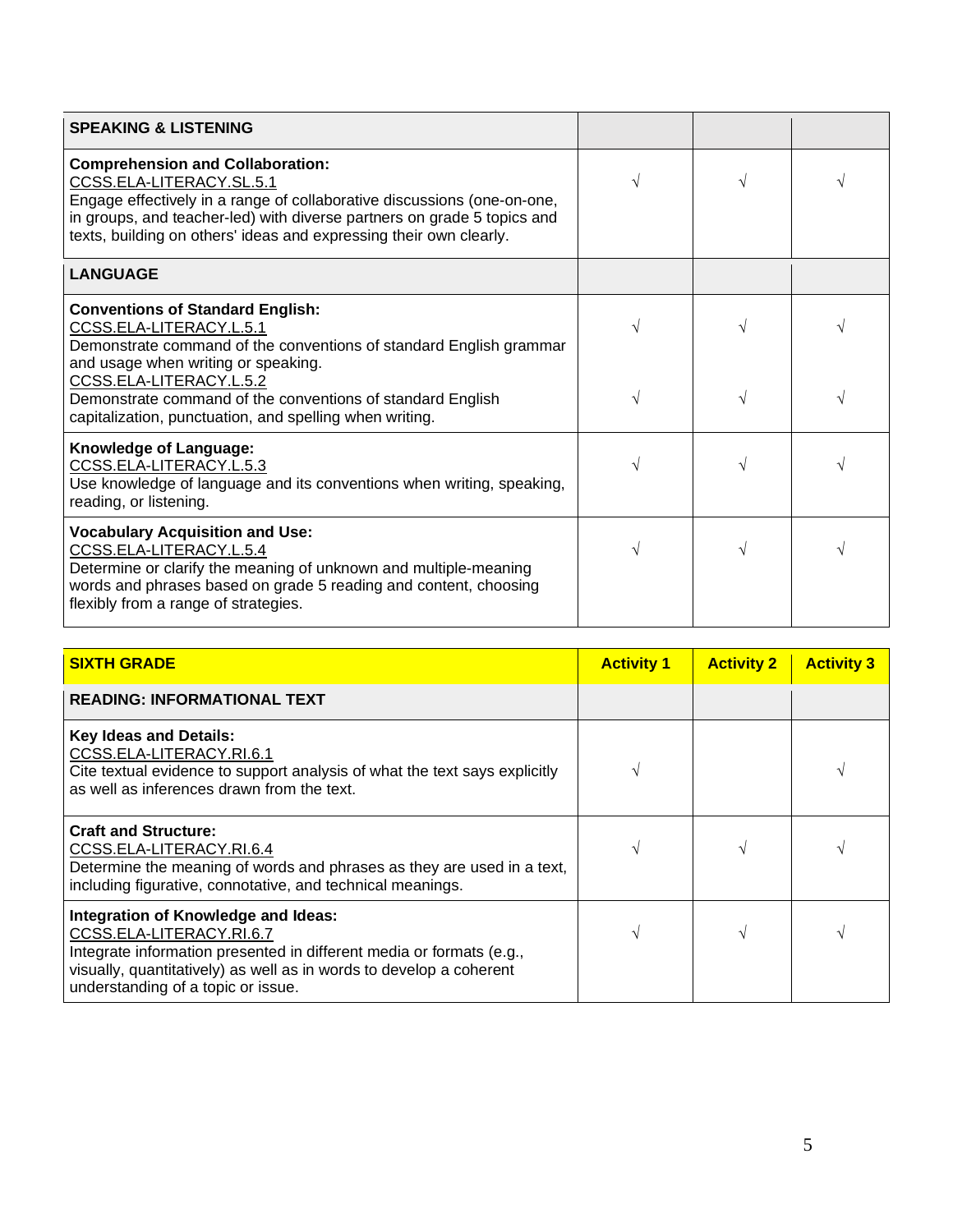| <b>SPEAKING &amp; LISTENING</b>                                                                                                                                                                                                                                                                 |   |  |
|-------------------------------------------------------------------------------------------------------------------------------------------------------------------------------------------------------------------------------------------------------------------------------------------------|---|--|
| <b>Comprehension and Collaboration:</b><br>CCSS.ELA-LITERACY.SL.5.1<br>Engage effectively in a range of collaborative discussions (one-on-one,<br>in groups, and teacher-led) with diverse partners on grade 5 topics and<br>texts, building on others' ideas and expressing their own clearly. |   |  |
| <b>LANGUAGE</b>                                                                                                                                                                                                                                                                                 |   |  |
| <b>Conventions of Standard English:</b><br>CCSS.ELA-LITERACY.L.5.1<br>Demonstrate command of the conventions of standard English grammar<br>and usage when writing or speaking.                                                                                                                 |   |  |
| CCSS.ELA-LITERACY.L.5.2<br>Demonstrate command of the conventions of standard English<br>capitalization, punctuation, and spelling when writing.                                                                                                                                                |   |  |
| Knowledge of Language:<br>CCSS.ELA-LITERACY.L.5.3<br>Use knowledge of language and its conventions when writing, speaking,<br>reading, or listening.                                                                                                                                            |   |  |
| <b>Vocabulary Acquisition and Use:</b><br>CCSS.ELA-LITERACY.L.5.4<br>Determine or clarify the meaning of unknown and multiple-meaning<br>words and phrases based on grade 5 reading and content, choosing<br>flexibly from a range of strategies.                                               | V |  |

| <b>SIXTH GRADE</b>                                                                                                                                                                                                                                   | <b>Activity 1</b> | <b>Activity 2</b> | <b>Activity 3</b> |
|------------------------------------------------------------------------------------------------------------------------------------------------------------------------------------------------------------------------------------------------------|-------------------|-------------------|-------------------|
| <b>READING: INFORMATIONAL TEXT</b>                                                                                                                                                                                                                   |                   |                   |                   |
| <b>Key Ideas and Details:</b><br>CCSS.ELA-LITERACY.RI.6.1<br>Cite textual evidence to support analysis of what the text says explicitly<br>as well as inferences drawn from the text.                                                                |                   |                   |                   |
| <b>Craft and Structure:</b><br>CCSS.ELA-LITERACY.RI.6.4<br>Determine the meaning of words and phrases as they are used in a text,<br>including figurative, connotative, and technical meanings.                                                      |                   |                   |                   |
| Integration of Knowledge and Ideas:<br>CCSS.ELA-LITERACY.RI.6.7<br>Integrate information presented in different media or formats (e.g.,<br>visually, quantitatively) as well as in words to develop a coherent<br>understanding of a topic or issue. |                   |                   |                   |